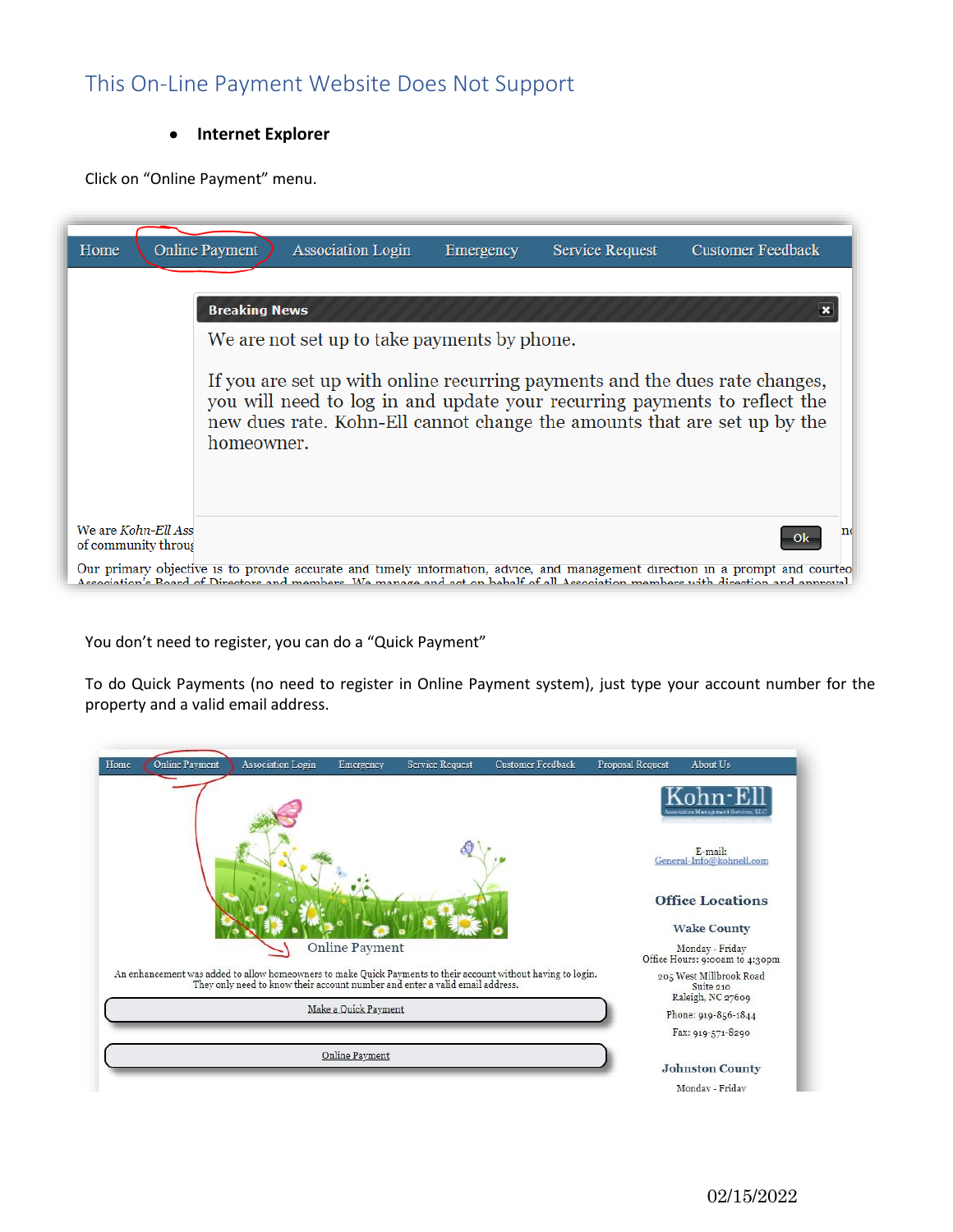## This On-Line Payment Website Does Not Support

#### • **Internet Explorer**

Click on "Online Payment" menu.

| Home                                       | <b>Online Payment</b>                                                                                                                                                                                                                              | <b>Association Login</b>                     | Emergency | <b>Service Request</b> | <b>Customer Feedback</b>                                                                                                                                                                                                                                          |  |  |
|--------------------------------------------|----------------------------------------------------------------------------------------------------------------------------------------------------------------------------------------------------------------------------------------------------|----------------------------------------------|-----------|------------------------|-------------------------------------------------------------------------------------------------------------------------------------------------------------------------------------------------------------------------------------------------------------------|--|--|
|                                            | <b>Breaking News</b>                                                                                                                                                                                                                               | We are not set up to take payments by phone. |           |                        |                                                                                                                                                                                                                                                                   |  |  |
|                                            | If you are set up with online recurring payments and the dues rate changes,<br>you will need to log in and update your recurring payments to reflect the<br>new dues rate. Kohn-Ell cannot change the amounts that are set up by the<br>homeowner. |                                              |           |                        |                                                                                                                                                                                                                                                                   |  |  |
| We are Kohn-Ell Ass<br>of community throug |                                                                                                                                                                                                                                                    |                                              |           |                        | n                                                                                                                                                                                                                                                                 |  |  |
|                                            |                                                                                                                                                                                                                                                    |                                              |           |                        | Our primary objective is to provide accurate and timely information, advice, and management direction in a prompt and courteo<br>Association's Roard of Directors and members. We manage and act on behalf of all Association members with direction and annroval |  |  |

You don't need to register, you can do a "Quick Payment"

To do Quick Payments (no need to register in Online Payment system), just type your account number for the property and a valid email address.

| Online Payment<br>Home<br>Association Login                                                                                                                                                   | Emergency             | <b>Service Request</b> | <b>Customer Feedback</b> | Proposal Request | About Us                                                  |
|-----------------------------------------------------------------------------------------------------------------------------------------------------------------------------------------------|-----------------------|------------------------|--------------------------|------------------|-----------------------------------------------------------|
|                                                                                                                                                                                               |                       |                        |                          |                  | ociation Management Sorvices, LLC                         |
|                                                                                                                                                                                               |                       |                        |                          |                  | E-mail:<br>General-Info@kohnell.com                       |
|                                                                                                                                                                                               |                       |                        |                          |                  | <b>Office Locations</b><br><b>Wake County</b>             |
|                                                                                                                                                                                               | Online Payment        |                        |                          |                  | Monday - Friday<br>Office Hours: 9:00am to 4:30pm         |
| An enhancement was added to allow homeowners to make Quick Payments to their account without having to login.<br>They only need to know their account number and enter a valid email address. |                       |                        |                          |                  | 205 West Millbrook Road<br>Suite 210<br>Raleigh, NC 27609 |
|                                                                                                                                                                                               | Make a Quick Payment  |                        |                          |                  | Phone: 919-856-1844                                       |
|                                                                                                                                                                                               |                       |                        |                          |                  | Fax: 919-571-8290                                         |
|                                                                                                                                                                                               | <b>Online Payment</b> |                        |                          |                  | <b>Johnston County</b>                                    |
|                                                                                                                                                                                               |                       |                        |                          |                  | Monday - Friday                                           |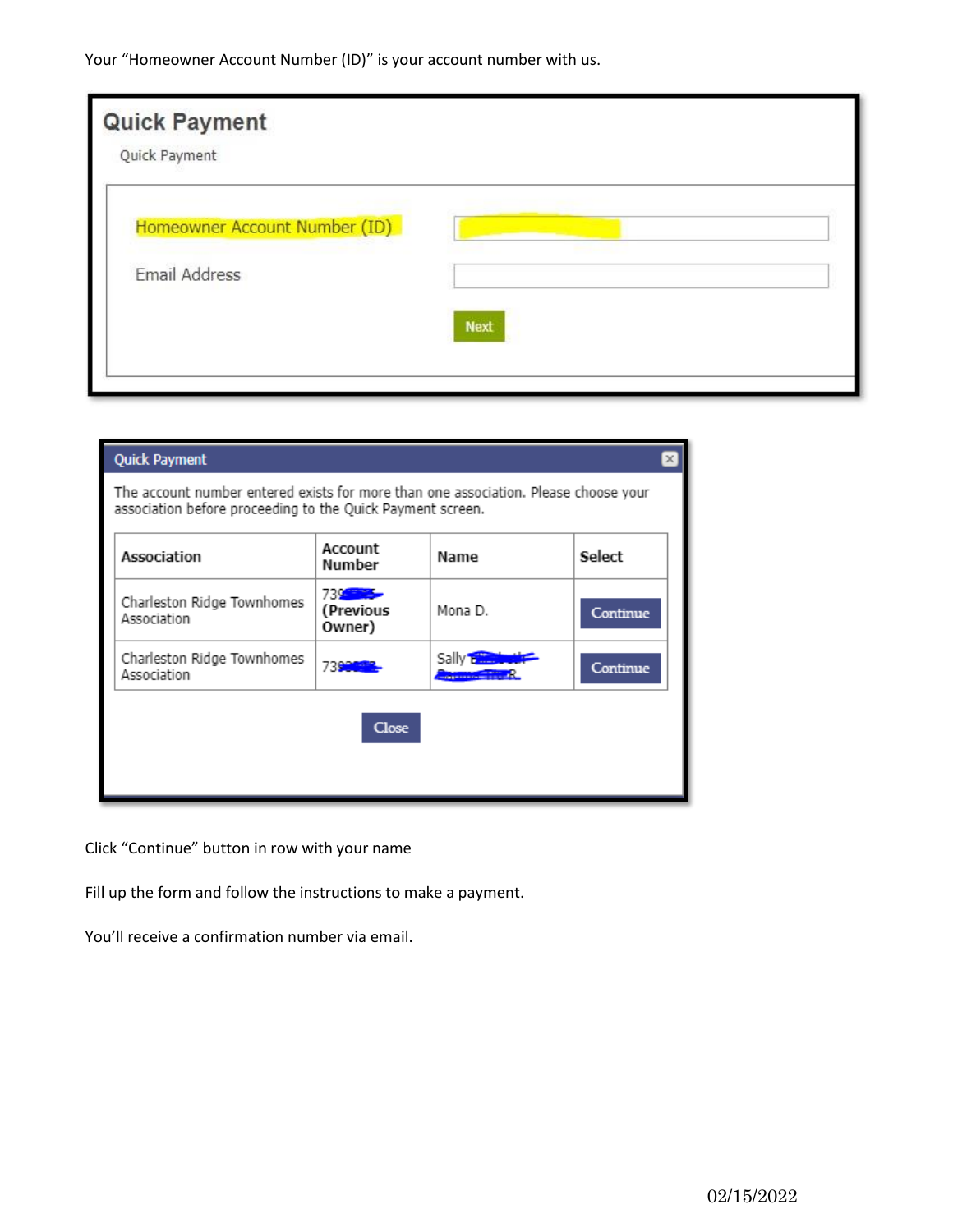Your "Homeowner Account Number (ID)" is your account number with us.

| <b>Next</b> |  |
|-------------|--|
|             |  |

| <b>Quick Payment</b>                                                                                                                              |                                   |                                                                |          |  |  |  |  |
|---------------------------------------------------------------------------------------------------------------------------------------------------|-----------------------------------|----------------------------------------------------------------|----------|--|--|--|--|
| The account number entered exists for more than one association. Please choose your<br>association before proceeding to the Quick Payment screen. |                                   |                                                                |          |  |  |  |  |
| Association                                                                                                                                       | Account<br>Number                 | Name                                                           | Select   |  |  |  |  |
| Charleston Ridge Townhomes<br>Association                                                                                                         | 739 - Paul<br>(Previous<br>Owner) | Mona D.                                                        | Continue |  |  |  |  |
| Charleston Ridge Townhomes<br>Association                                                                                                         | 7390                              | Sally <b>Exercise</b><br><b>CONTINUES IN THE REAL PROPERTY</b> | Continue |  |  |  |  |
|                                                                                                                                                   | <b>Close</b>                      |                                                                |          |  |  |  |  |

Click "Continue" button in row with your name

Fill up the form and follow the instructions to make a payment.

You'll receive a confirmation number via email.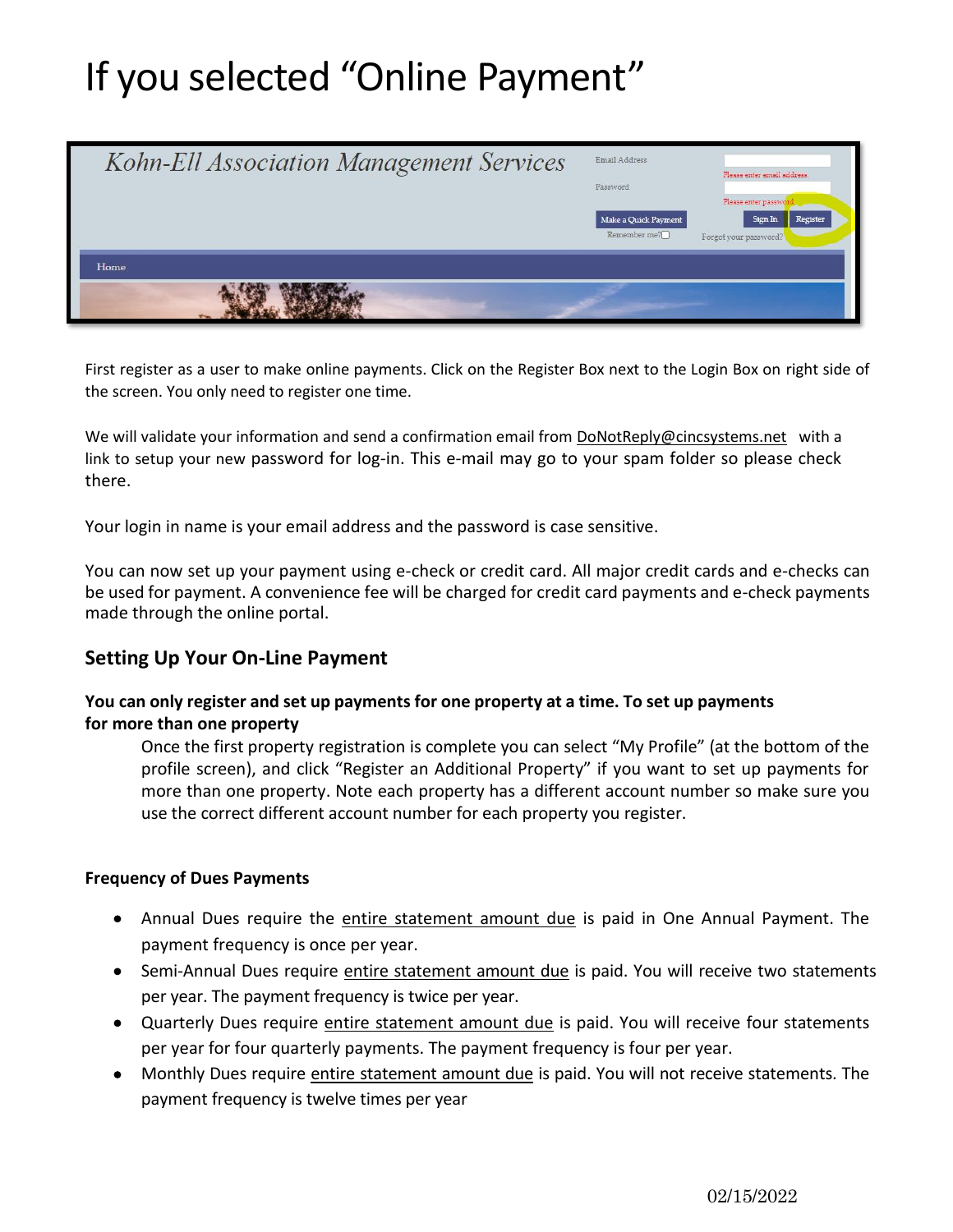# If you selected "Online Payment"



First register as a user to make online payments. Click on the Register Box next to the Login Box on right side of the screen. You only need to register one time.

We will validate your information and send a confirmation email from [DoNotReply@cincsystems.net](mailto:DoNotReply@cincsystems.net) with a link to setup your new password for log-in. This e-mail may go to your spam folder so please check there.

Your login in name is your email address and the password is case sensitive.

You can now set up your payment using e-check or credit card. All major credit cards and e-checks can be used for payment. A convenience fee will be charged for credit card payments and e-check payments made through the online portal.

### **Setting Up Your On-Line Payment**

#### **You can only register and set up payments for one property at a time. To set up payments for more than one property**

Once the first property registration is complete you can select "My Profile" (at the bottom of the profile screen), and click "Register an Additional Property" if you want to set up payments for more than one property. Note each property has a different account number so make sure you use the correct different account number for each property you register.

#### **Frequency of Dues Payments**

- Annual Dues require the entire statement amount due is paid in One Annual Payment. The payment frequency is once per year.
- Semi-Annual Dues require entire statement amount due is paid. You will receive two statements per year. The payment frequency is twice per year.
- Quarterly Dues require entire statement amount due is paid. You will receive four statements per year for four quarterly payments. The payment frequency is four per year.
- Monthly Dues require entire statement amount due is paid. You will not receive statements. The payment frequency is twelve times per year